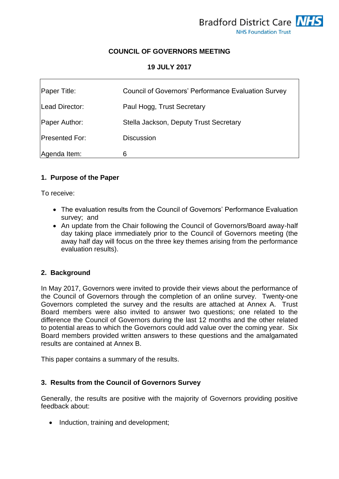# **COUNCIL OF GOVERNORS MEETING**

### **19 JULY 2017**

| Paper Title:          | <b>Council of Governors' Performance Evaluation Survey</b> |
|-----------------------|------------------------------------------------------------|
| Lead Director:        | Paul Hogg, Trust Secretary                                 |
| Paper Author:         | Stella Jackson, Deputy Trust Secretary                     |
| <b>Presented For:</b> | <b>Discussion</b>                                          |
| Agenda Item:          | 6                                                          |

### **1. Purpose of the Paper**

To receive:

- The evaluation results from the Council of Governors' Performance Evaluation survey; and
- An update from the Chair following the Council of Governors/Board away-half day taking place immediately prior to the Council of Governors meeting (the away half day will focus on the three key themes arising from the performance evaluation results).

#### **2. Background**

In May 2017, Governors were invited to provide their views about the performance of the Council of Governors through the completion of an online survey. Twenty-one Governors completed the survey and the results are attached at Annex A. Trust Board members were also invited to answer two questions; one related to the difference the Council of Governors during the last 12 months and the other related to potential areas to which the Governors could add value over the coming year. Six Board members provided written answers to these questions and the amalgamated results are contained at Annex B.

This paper contains a summary of the results.

## **3. Results from the Council of Governors Survey**

Generally, the results are positive with the majority of Governors providing positive feedback about:

• Induction, training and development;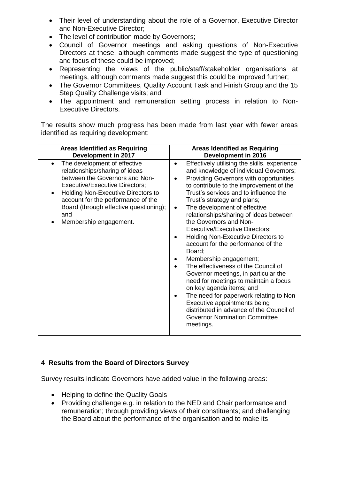- Their level of understanding about the role of a Governor, Executive Director and Non-Executive Director;
- The level of contribution made by Governors;
- Council of Governor meetings and asking questions of Non-Executive Directors at these, although comments made suggest the type of questioning and focus of these could be improved;
- Representing the views of the public/staff/stakeholder organisations at meetings, although comments made suggest this could be improved further;
- The Governor Committees, Quality Account Task and Finish Group and the 15 Step Quality Challenge visits; and
- The appointment and remuneration setting process in relation to Non-Executive Directors.

The results show much progress has been made from last year with fewer areas identified as requiring development:

| <b>Areas Identified as Requiring</b>                                                                                                                                                                                                                                                                                      | <b>Areas Identified as Requiring</b>                                                                                                                                                                                                                                                                                                                                                                                                                                                                                                                                                                                                                                                                                                                                                                                                                                                                        |
|---------------------------------------------------------------------------------------------------------------------------------------------------------------------------------------------------------------------------------------------------------------------------------------------------------------------------|-------------------------------------------------------------------------------------------------------------------------------------------------------------------------------------------------------------------------------------------------------------------------------------------------------------------------------------------------------------------------------------------------------------------------------------------------------------------------------------------------------------------------------------------------------------------------------------------------------------------------------------------------------------------------------------------------------------------------------------------------------------------------------------------------------------------------------------------------------------------------------------------------------------|
| Development in 2017                                                                                                                                                                                                                                                                                                       | Development in 2016                                                                                                                                                                                                                                                                                                                                                                                                                                                                                                                                                                                                                                                                                                                                                                                                                                                                                         |
| The development of effective<br>$\bullet$<br>relationships/sharing of ideas<br>between the Governors and Non-<br><b>Executive/Executive Directors;</b><br><b>Holding Non-Executive Directors to</b><br>account for the performance of the<br>Board (through effective questioning);<br>and<br>Membership engagement.<br>٠ | Effectively utilising the skills, experience<br>$\bullet$<br>and knowledge of individual Governors;<br>Providing Governors with opportunities<br>$\bullet$<br>to contribute to the improvement of the<br>Trust's services and to influence the<br>Trust's strategy and plans;<br>The development of effective<br>$\bullet$<br>relationships/sharing of ideas between<br>the Governors and Non-<br><b>Executive/Executive Directors;</b><br><b>Holding Non-Executive Directors to</b><br>$\bullet$<br>account for the performance of the<br>Board;<br>Membership engagement;<br>The effectiveness of the Council of<br>Governor meetings, in particular the<br>need for meetings to maintain a focus<br>on key agenda items; and<br>The need for paperwork relating to Non-<br>Executive appointments being<br>distributed in advance of the Council of<br><b>Governor Nomination Committee</b><br>meetings. |

## **4 Results from the Board of Directors Survey**

Survey results indicate Governors have added value in the following areas:

- Helping to define the Quality Goals
- Providing challenge e.g. in relation to the NED and Chair performance and remuneration; through providing views of their constituents; and challenging the Board about the performance of the organisation and to make its